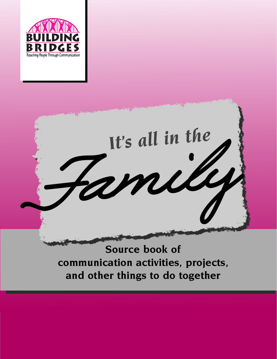



## **Source book of communication activities, projects, and other things to do together**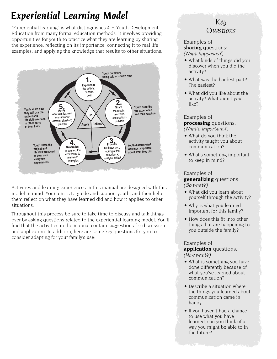## *Experiential Learning Model*

"Experiential learning" is what distinguishes 4-H Youth Development Education from many formal education methods. It involves providing opportunities for youth to practice what they are learning by sharing the experience, reflecting on its importance, connecting it to real life examples, and applying the knowledge that results to other situations.



Activities and learning experiences in this manual are designed with this model in mind. Your aim is to guide and support youth, and then help them reflect on what they have learned did and how it applies to other situations.

Throughout this process be sure to take time to discuss and talk things over by asking questions related to the experiential learning model. You'll find that the activities in the manual contain suggestions for discussion and application. In addition, here are some key questions for you to consider adapting for your family's use:

## *Key Questions*

#### Examples of **sharing** questions: (What happened?)

- What kinds of things did you discover when you did the activity?
- What was the hardest part? The easiest?
- What did you like about the activity? What didn't you like?

#### Examples of **processing** questions:

(What's important?)

- What do you think the activity taught you about communication?
- What's something important to keep in mind?

#### Examples of

**generalizing** questions: (So what?)

- What did you learn about yourself through the activity?
- Why is what you learned important for this family?
- How does this fit into other things that are happening to you outside the family?

## Examples of

**application** questions: (Now what?)

- What is something you have done differently because of what you've learned about communication?
- Describe a situation where the things you learned about communication came in handy.
- If you haven't had a chance to use what you have learned, can you think of a way you might be able to in the future?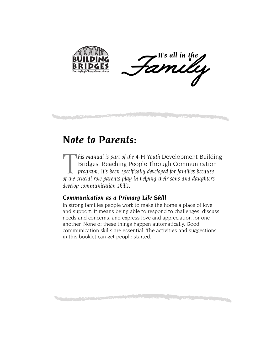



## *Note to Parents:*

**This manual is part of the 4-H Youth Development Building**<br>Bridges: Reaching People Through Communication<br>program. It's been specifically developed for families because<br>of the crucial role parents play in helping their so Bridges: Reaching People Through Communication *program. It's been specifically developed for families because of the crucial role parents play in helping their sons and daughters develop communication skills.*

### *Communication as a Primary Life Skill*

In strong families people work to make the home a place of love and support. It means being able to respond to challenges, discuss needs and concerns, and express love and appreciation for one another. None of these things happen automatically. Good communication skills are essential. The activities and suggestions in this booklet can get people started.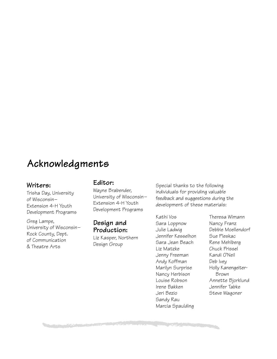## **Acknowledgments**

### **Writers:**

Trisha Day, University of Wisconsin– Extension 4-H Youth Development Programs

Greg Lampe, University of Wisconsin– Rock County, Dept. of Communication & Theatre Arts

#### **Editor:**

Wayne Brabender, University of Wisconsin– Extension 4-H Youth Development Programs

## **Design and Production:**

Liz Kasper, Northern Design Group

Special thanks to the following individuals for providing valuable feedback and suggestions during the development of these materials:

Kathi Vos Sara Loppnow Julie Ladwig Jennifer Kesselhon Sara Jean Beach Liz Matzke Jenny Freeman Andy Koffman Marilyn Surprise Nancy Herbison Louise Robson Irene Bakken Jeri Bezio Sandy Rau Marcia Spaulding

Theresa Wimann Nancy Franz Debbie Moellendorf Sue Pleskac Rene Mehlberg Chuck Prissel Kandi O'Neil Deb Ivey Holly Kanengeiter-Brown Annette Bjorklund Jennifer Tabke Steve Wagoner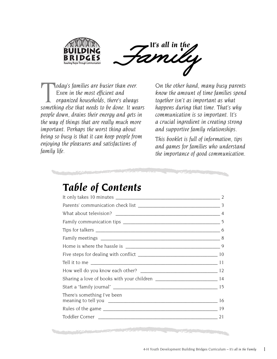



*Loday's families are busier than ever. Even in the most efficient and organized households, there's always something else that needs to be done. It wears people down, drains their energy and gets in the way of things that are really much more important. Perhaps the worst thing about being so busy is that it can keep people from enjoying the pleasures and satisfactions of family life.*

*On the other hand, many busy parents know the amount of time families spend together isn't as important as what happens during that time. That's why communication is so important. It's a crucial ingredient in creating strong and supportive family relationships.*

*This booklet is full of information, tips and games for families who understand the importance of good communication.*

## *Table of Contents*

| There's something I've been | 16 |
|-----------------------------|----|
|                             |    |
|                             |    |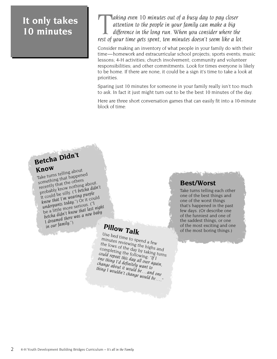## **It only takes 10 minutes**

**The law is a continuum of a busy day to pay closer**<br>attention to the people in your family can make a big<br>difference in the long run. When you consider where the<br>rest of your time gets spent, ten minutes doesn't seem like *attention to the people in your family can make a big difference in the long run. When you consider where the rest of your time gets spent, ten minutes doesn't seem like a lot.*

Consider making an inventory of what people in your family do with their time—homework and extracurricular school projects; sports events; music lessons; 4-H activities; church involvement; community and volunteer responsibilities; and other commitments. Look for times everyone is likely to be home. If there are none, it could be a sign it's time to take a look at priorities.

Sparing just 10 minutes for someone in your family really isn't too much to ask. In fact it just might turn out to be the best 10 minutes of the day.

Here are three short conversation games that can easily fit into a 10-minute block of time:

# **Betcha Didn't**

**Know** Take turns telling about something that happened recently that the others<br>probably know nothing about<br>probably know nothing and did<br>it could be silly. ("I betcha did<br>know that I'm wearing purple probably know nothing about. It could be silly. ("I betcha didn't *underpants today.*") Or it could be a little more serious. (*"I betcha didn't know that last night I dreamed there was a new baby in our family.*")

## **Pillow Talk**

Use bed time to spend a few minutes reviewing the highs and the lows of the day by taking turns completing the following: "*If I could repeat this day all over again, one thing I'd definitely want to change about it would be…and one thing I wouldn't change would be….*"

## **Best/Worst**

Take turns telling each other one of the best things and one of the worst things that's happened in the past few days. (Or describe one of the funniest and one of the saddest things, or one of the most exciting and one of the most boring things.)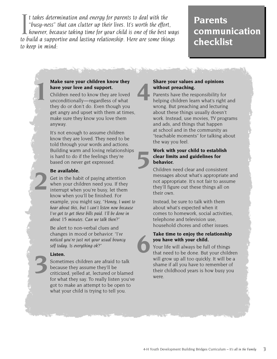I t takes determination and energy for parents to deal with the<br>"busy-ness" that can clutter up their lives. It's worth the effort,<br>however, because taking time for your child is one of the best way<br>to build a supportive a *t takes determination and energy for parents to deal with the "busy-ness" that can clutter up their lives. It's worth the effort, however, because taking time for your child is one of the best ways to keep in mind:*

## **Parents communication checklist**

#### **Make sure your children know they have your love and support.**

Children need to know they are loved unconditionally—regardless of what they do or don't do. Even though you get angry and upset with them at times, make sure they know you love them anyway.

It's not enough to assume children know they are loved. They need to be told through your words and actions. Building warm and loving relationships is hard to do if the feelings they're based on never get expressed.

#### **Be available.**

**1**

**2**

**3**

Get in the habit of paying attention when your children need you. If they interrupt when you're busy, let them know when you'll be finished. For example, you might say, "*Honey, I want to hear about this, but I can't listen now because I've got to get these bills paid. I'll be done in about 15 minutes. Can we talk then?*"

Be alert to non-verbal clues and changes in mood or behavior. "*I've noticed you're just not your usual bouncy self today. Is everything ok*?"

#### **Listen.**

Sometimes children are afraid to talk because they assume they'll be criticized, yelled at, lectured or blamed for what they say. To really listen you've got to make an attempt to be open to what your child is trying to tell you.

#### **Share your values and opinions without preaching.**

**4**

**5**

Parents have the responsibility for helping children learn what's right and wrong. But preaching and lecturing about these things usually doesn't work. Instead, use movies, TV programs and ads, and things that happen at school and in the community as "teachable moments" for talking about the way you feel.

#### **Work with your child to establish clear limits and guidelines for behavior.**

Children need clear and consistent messages about what's appropriate and not appropriate. It's not fair to assume they'll figure out these things all on their own.

Instead, be sure to talk with them about what's expected when it comes to homework, social activities, telephone and television use, household chores and other issues.

## **Take time to enjoy the relationship you have with your child. 6**

Your life will always be full of things that need to be done. But your children will grow up all too quickly. It will be a shame if all you have to remember of their childhood years is how busy you were.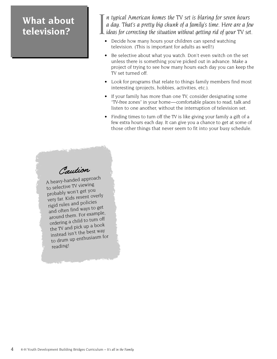## **What about television?**

I *n typical American homes the TV set is blaring for seven hours a day. That's a pretty big chunk of a family's time. Here are a few ideas for correcting the situation without getting rid of your TV set.*

- Decide how many hours your children can spend watching television. (This is important for adults as well!)
- Be selective about what you watch. Don't even switch on the set unless there is something you've picked out in advance. Make a project of trying to see how many hours each day you can keep the TV set turned off.
- Look for programs that relate to things family members find most interesting (projects, hobbies, activities, etc.).
- If your family has more than one TV, consider designating some "TV-free zones" in your home—comfortable places to read, talk and listen to one another, without the interruption of television set.
- Finding times to turn off the TV is like giving your family a gift of a few extra hours each day. It can give you a chance to get at some of those other things that never seem to fit into your busy schedule.

Caution

A heavy-handed approach to selective TV viewing probably won't get you very far. Kids resent overly rigid rules and policies and often find ways to get around them. For example, ordering a child to turn off the TV and pick up a boo<sup>k</sup> instead isn't the best way to drum up enthusiasm for reading!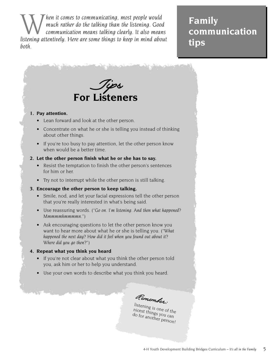**Ware the mean is communicating, most people would**<br>much rather do the talking than the listening. Good<br>listening attentively. Here are some things to keep in mind about *much rather do the talking than the listening. Good communication means talking clearly. It also means listening attentively. Here are some things to keep in mind about both.*

**Family communication tips**



Remember:

listening is one of the nicest things you can do for another person!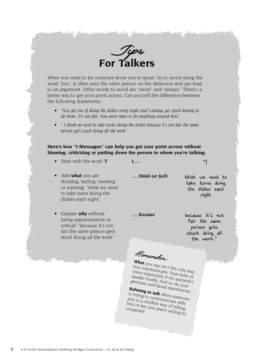

When you need to let someone know you're upset, try to avoid using the word "you." It often puts the other person on the defensive and can lead to an argument. Other words to avoid are "never" and "always." There's a better way to get your point across. Can you tell the difference between the following statements:

- *"You get out of doing the dishes every night and I always get stuck having to do them. It's not fair. You never have to do anything around here."*
- *" I think we need to take turns doing the dishes because it's not fair the same person gets stuck doing all the work."*

#### **Here's how "I-Messages" can help you get your point across without blaming, criticizing or putting down the person to whom you're talking:**

- Start with the word "**I**"
- *I.....*

"I

• Add **what** you are thinking, feeling, needing or wanting: "think we need to take turns doing the dishes each night"

*.... think (or feel)*

think we need to take turns doing the dishes each night

• Explain **why** without being argumentative or critical: "because it's not fair the same person gets stuck doing all the work."

because it's not fair the same person gets stuck doing all the work."

Remember:

*.... because*

**What** you say isn't the only way you communicate. Your tone of voice (especially if it's sarcastic) speaks loudly. And so do your gestures and facial expressions.

**Refusing to talk** is trying to communicate with when someone you is a childish way of telling<br>him or her you aren't willing<br>cooperate him or her you aren't willing<br>cooperate.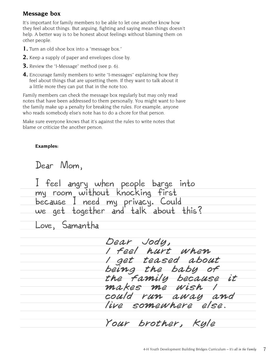#### **Message box**

It's important for family members to be able to let one another know how they feel about things. But arguing, fighting and saying mean things doesn't help. A better way is to be honest about feelings without blaming them on other people.

- **1.** Turn an old shoe box into a "message box."
- **2.** Keep a supply of paper and envelopes close by.
- **3.** Review the "I-Message" method (see p. 6).
- **4.** Encourage family members to write "I-messages" explaining how they feel about things that are upsetting them. If they want to talk about it a little more they can put that in the note too.

Family members can check the message box regularly but may only read notes that have been addressed to them personally. You might want to have the family make up a penalty for breaking the rules. For example, anyone who reads somebody else's note has to do a chore for that person.

Make sure everyone knows that it's against the rules to write notes that blame or criticize the another person.

#### **Examples:**

Dear Mom,

I feel angry when people barge into my room without knocking first because I need my privacy. Could we get together and talk about this?

Love, Samantha

Dear Jody, feel hurt when get teased about being the baby of the Family because it<br>makes me wish I makes me could run away and live somewhere else.

Your brother, Kyle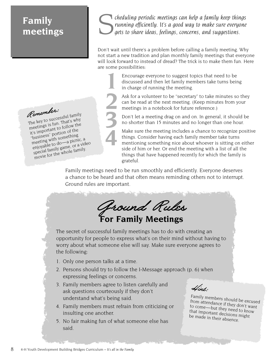## **Family meetings**

**Cheduling periodic meetings can help a family keep things**<br>running efficiently. It's a good way to make sure everyone<br>gets to share ideas, feelings, concerns, and suggestions. *running efficiently. It's a good way to make sure everyone gets to share ideas, feelings, concerns, and suggestions.*

Don't wait until there's a problem before calling a family meeting. Why not start a new tradition and plan monthly family meetings that everyone will look forward to instead of dread? The trick is to make them fun. Here are some possibilities:

**2 1** Encourage everyone to suggest topics that need to be discussed and then let family members take turns being in charge of running the meeting.

Ask for a volunteer to be "secretary" to take minutes so they can be read at the next meeting. (Keep minutes from your meetings in a notebook for future reference.)

Don't let a meeting drag on and on. In general, it should be no shorter than 15 minutes and no longer than one hour.

Make sure the meeting includes a chance to recognize positive things. Consider having each family member take turns mentioning something nice about whoever is sitting on either side of him or her. Or end the meeting with a list of all the things that have happened recently for which the family is grateful.

Family meetings need to be run smoothly and efficiently. Everyone deserves a chance to be heard and that often means reminding others not to interrupt. Ground rules are important.

**3**

**4**

Ground Rules **For Family Meetings** The secret of successful family meetings has to do with creating an opportunity for people to express what's on their mind without having to worry about what someone else will say. Make sure everyone agrees to the following: 1. Only one person talks at a time. 2. Persons should try to follow the I-Message approach (p. 6) when expressing feelings or concerns. 3. Family members agree to listen carefully and ask questions courteously if they don't understand what's being said. 4. Family members must refrain from criticizing or insulting one another. 5. No fair making fun of what someone else has Hint: Family members should be excused from attendance if they don't want to come—but they need to know that important decisions might be made in their absence.

Remember: The key to successful family meetings is fun. That's why it's important to follow the "business" portion of the meeting with something enjoyable to do—a picnic, a special family game, or a video movie for the whole family.

said.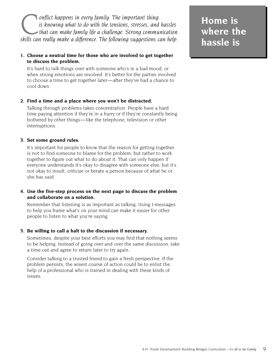onflict happens in every family. The important thing<br>is knowing what to do with the tensions, stresses, and<br>that can make family life a challenge. Strong commu.<br>skills can really make a difference. The following suggestion *is knowing what to do with the tensions, stresses, and hassles that can make family life a challenge. Strong communication skills can really make a difference. The following suggestions can help:*

#### **1. Choose a neutral time for those who are involved to get together to discuss the problem.**

It's hard to talk things over with someone who's in a bad mood, or when strong emotions are involved. It's better for the parties involved to choose a time to get together later—after they've had a chance to cool down.

#### **2. Find a time and a place where you won't be distracted.**

Talking through problems takes concentration. People have a hard time paying attention if they're in a hurry or if they're constantly being bothered by other things—like the telephone, television or other interruptions.

#### **3. Set some ground rules.**

It's important for people to know that the reason for getting together is not to find someone to blame for the problem, but rather to work together to figure out what to do about it. That can only happen if everyone understands it's okay to disagree with someone else, but it's not okay to insult, criticize or berate a person because of what he or she has said.

#### **4. Use the five-step process on the next page to discuss the problem and collaborate on a solution.**

Remember that listening is as important as talking. Using I-messages to help you frame what's on your mind can make it easier for other people to listen to what you're saying.

#### **5. Be willing to call a halt to the discussion if necessary.**

Sometimes, despite your best efforts you may find that nothing seems to be helping. Instead of going over and over the same discussion, take a time out and agree to return later to try again.

Consider talking to a trusted friend to gain a fresh perspective. If the problem persists, the wisest course of action could be to enlist the help of a professional who is trained in dealing with these kinds of issues.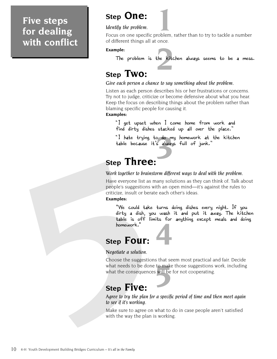## **Five steps for dealing with conflict**

## **Step One:**

#### *Identify the problem.*

**11 Step One:**<br> **1**<br>**1** Focus on one specific problem, rather than to try to tackle a number of different things all at once.

#### **Example:**

the kitc The problem is the kitchen always seems to be a mess.

## **Step Two:**

#### *Give each person a chance to say something about the problem.*

Listen as each person describes his or her frustrations or concerns. Try not to judge, criticize or become defensive about what you hear. Keep the focus on describing things about the problem rather than blaming specific people for causing it.

#### **Examples:**

"I get upset when I come home from work and find dirty dishes stacked up all over the place."

o do m<br>'s alway<br>, "I hate trying to do my homework at the kitchen table because it's always full of junk."

## **Step Three:**

#### *Work together to brainstorm different ways to deal with the problem.*

**Step Inree:**<br>Work together to brainstorn<br>Have everyone list as man<br>people's suggestions with<br>criticize, insult or berate e<br>**Examples:** "We could take tu<br>dirty a dish, you where<br>the soff limits<br>homework."<br>**Step FOUI:**<br>Nego Have everyone list as many solutions as they can think of. Talk about people's suggestions with an open mind—it's against the rules to criticize, insult or berate each other's ideas.

#### **Examples:**

**4** "We could take turns doing dishes every night. If you dirty a dish, you wash it and put it away. The kitchen table is off limits for anything except meals and doing homework."

## **Step Four:**

*Negotiate a solution.*

**5** to make<br>**5** will be Choose the suggestions that seem most practical and fair. Decide what needs to be done to make those suggestions work, including what the consequences will be for not cooperating.

## **Step Five:**

*Agree to try the plan for a specific period of time and then meet again to see if it's working.*

Make sure to agree on what to do in case people aren't satisfied with the way the plan is working.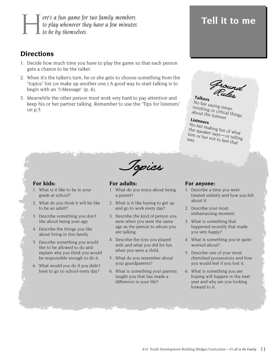**Here's a fun game for two family members**<br>to play whenever they have a few minutes<br>to be by themselves. *to play whenever they have a few minutes to be by themselves.*

## **Directions**

- 1. Decide how much time you have to play the game so that each person gets a chance to be the talker.
- 2. When it's the talker's turn, he or she gets to choose something from the "topics" list (or make up another one.) A good way to start talking is to begin with an "I-Message" (p. 6).
- 3. Meanwhile the other person must work very hard to pay attention and keep his or her partner talking. Remember to use the "Tips for listeners" on p.5.

## **Tell it to me**

Ground Rules **Talkers**

**Talkers**<br>No fair saying mean, insulting or critical things about the listener.

**Listeners** No fair making fun of what the speaker says—or telling him or her not to feel that<br>way.

#### **For kids:**

- 1. What is it like to be in your grade at school?
- 2. What do you think it will be like to be an adult?
- 3. Describe something you don't like about being your age.
- 4. Describe the things you like about living in this family.
- 5. Describe something you would like to be allowed to do and explain why you think you would be responsible enough to do it.
- 6. What would you do if you didn't have to go to school every day?

**For adults:**

1. What do you enjoy about being a parent?

Topics

- 2. What is it like having to get up and go to work every day?
- 3. Describe the kind of person you were when you were the same age as the person to whom you are talking.
- 4. Describe the toys you played with and what you did for fun when you were a child.
- 5. What do you remember about your grandparents?
- 6. What is something your parents taught you that has made a difference in your life?

#### **For anyone:**

- 1. Describe a time you were treated unfairly and how you felt about it.
- 2. Describe your most embarrassing moment.
- 3. What is something that happened recently that made you very happy?
- 4. What is something you're quite worried about?
- 5. Describe one of your most cherished possessions and how you would feel if you lost it.
- 6. What is something you are hoping will happen in the next year and why are you looking forward to it.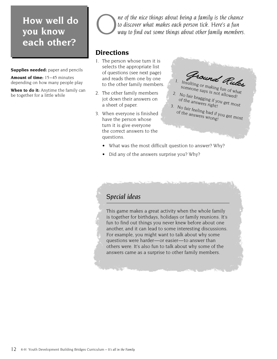## **How well do you know each other?**

**Supplies needed:** paper and pencils

**Amount of time:** 15–45 minutes depending on how many people play

**When to do it:** Anytime the family can be together for a little while



**C** *ne of the nice things about being a family is the chance* to discover what makes each person tick. Here's a fun way to find out some things about other family members. *to discover what makes each person tick. Here's a fun way to find out some things about other family members.*

## **Directions**

- 1. The person whose turn it is selects the appropriate list of questions (see next page) and reads them one by one to the other family members.
- 2. The other family members jot down their answers on a sheet of paper.
- 3. When everyone is finished have the person whose turn it is give everyone the correct answers to the questions.



- someone says is not allowed!<br>No fair bragging if you get mos 2. No fair bragging if you get most<br>of the answers right!<br>No fair bragging if you get most
- $3.$  No fair feeling bad if you get most<br>of the answers wrong!
- What was the most difficult question to answer? Why?
- Did any of the answers surprise you? Why?

## *Special ideas*

This game makes a great activity when the whole family is together for birthdays, holidays or family reunions. It's fun to find out things you never knew before about one another, and it can lead to some interesting discussions. For example, you might want to talk about why some questions were harder—or easier—to answer than others were. It's also fun to talk about why some of the answers came as a surprise to other family members.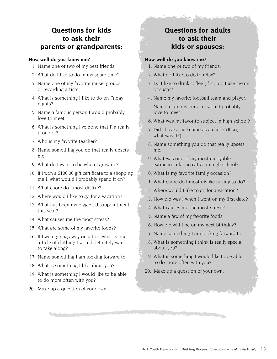## **Questions for kids to ask their parents or grandparents:**

#### **How well do you know me?**

- 1. Name one or two of my best friends:
- 2. What do I like to do in my spare time?
- 3. Name one of my favorite music groups or recording artists:
- 4. What is something I like to do on Friday nights?
- 5. Name a famous person I would probably love to meet:
- 6. What is something I've done that I'm really proud of?
- 7. Who is my favorite teacher?
- 8. Name something you do that really upsets me:
- 9. What do I want to be when I grow up?
- 10. If I won a \$100.00 gift certificate to a shopping mall, what would I probably spend it on?
- 11. What chore do I most dislike?
- 12. Where would I like to go for a vacation?
- 13. What has been my biggest disappointment this year?
- 14. What causes me the most stress?
- 15. What are some of my favorite foods?
- 16. If I were going away on a trip, what is one article of clothing I would definitely want to take along?
- 17. Name something I am looking forward to:
- 18. What is something I like about you?
- 19. What is something I would like to be able to do more often with you?
- 20. Make up a question of your own.

## **Questions for adults to ask their kids or spouses:**

#### **How well do you know me?**

- 1. Name one or two of my friends:
- 2. What do I like to do to relax?
- 3. Do I like to drink coffee (if so, do I use cream or sugar?)
- 4. Name my favorite football team and player:
- 5. Name a famous person I would probably love to meet:
- 6. What was my favorite subject in high school?
- 7. Did I have a nickname as a child? (If so, what was it?)
- 8. Name something you do that really upsets me:
- 9. What was one of my most enjoyable extracurricular activities in high school?
- 10. What is my favorite family occasion?
- 11. What chore do I most dislike having to do?
- 12. Where would I like to go for a vacation?
- 13. How old was I when I went on my first date?
- 14. What causes me the most stress?
- 15. Name a few of my favorite foods:
- 16. How old will I be on my next birthday?
- 17. Name something I am looking forward to:
- 18. What is something I think is really special about you?
- 19. What is something I would like to be able to do more often with you?
- 20. Make up a question of your own.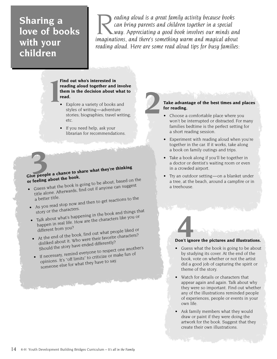## **Sharing a love of books with your children**

reading aloud is a great family activity because books<br>
can bring parents and children together in a special<br>
way. Appreciating a good book involves our minds and<br>
imaginations, and there's something warm and magical abou *can bring parents and children together in a special way. Appreciating a good book involves our minds and imaginations, and there's something warm and magical about reading aloud. Here are some read aloud tips for busy families:*

**2**

#### **Find out who's interested in reading aloud together and involve them in the decision about what to read. 1** Find the reduced to the reduced to the reduced to the reduced to the reduced to the reduced to the reduced to the reduced to the reduced to the reduced to the reduced to the reduced to the reduced to the reduced to the

- Explore a variety of books and styles of writing—adventure stories; biographies; travel writing; etc.
- If you need help, ask your librarian for recommendations.

# Give people a chance to share what they're thinking **or feeling about the book.**

- Guess what the book is going to be about, based on the title alone. Afterwards, find out if anyone can suggest
- a better title.<br>• As you read stop now and then to get reactions to the
- story or the characters. • Talk about what's happening in the book and things that
- happen in real life. How are the characters like you or different from you?
- At the end of the book, find out what people liked or disliked about it. Who were their favorite characters?
	- Should the story have ended differently?
- If necessary, remind everyone to respect one another's opinions. It's "off limits" to criticize or make fun o<sup>f</sup> someone else for what they have to say.

#### **Take advantage of the best times and places for reading.**

- Choose a comfortable place where you won't be interrupted or distracted. For many families bedtime is the perfect setting for a short reading session.
- Experiment with reading aloud when you're together in the car. If it works, take along a book on family outings and trips.
- Take a book along if you'll be together in a doctor or dentist's waiting room or even in a crowded airport.
- Try an outdoor setting—on a blanket under a tree, at the beach, around a campfire or in a treehouse.

# **Don't ignore the pictures and illustrations. 4**

- Guess what the book is going to be about by studying its cover. At the end of the book, vote on whether or not the artist did a good job of capturing the spirit or theme of the story.
- Watch for details or characters that appear again and again. Talk about why they were so important. Find out whether any of the illustrations reminded people of experiences, people or events in your own life.
- Ask family members what they would draw or paint if they were doing the artwork for the book. Suggest that they create their own illustrations.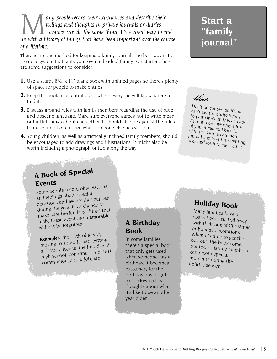**Many people record their experiences and describe their**<br>feelings and thoughts in private journals or diaries.<br>up with a history of things that have been important over the course *feelings and thoughts in private journals or diaries. Families can do the same thing. It's a great way to end of a lifetime.*

There is no one method for keeping a family journal. The best way is to create a system that suits your own individual family. For starters, here are some suggestions to consider:

- 1. Use a sturdy 8<sup>1</sup>/<sub>2</sub>" x 11" blank book with unlined pages so there's plenty of space for people to make entries.
- **2.** Keep the book in a central place where everyone will know where to find it.
- **3.** Discuss ground rules with family members regarding the use of rude and obscene language. Make sure everyone agrees not to write mean or hurtful things about each other. It should also be against the rules to make fun of or criticize what someone else has written.
- **4.** Young children, as well as artistically inclined family members, should be encouraged to add drawings and illustrations. It might also be worth including a photograph or two along the way.

## **Start a "family journal"**

Hint:

Don't be concerned if you can't get the entire family to participate in this activity. Even if there are only a few of you, it can still be a lot of fun to keep a common journal and take turns writing back and forth to each other

## **A Book of Special Events**

Some people record observations and feelings about special occasions and events that happen during the year. It's a chance to make sure the kinds of things that make these events so memorable will not be forgotten.

**Examples**: the birth of a baby, moving to a new house, getting a driver's license, the first day o<sup>f</sup> high school, confirmation or first communion, a new job, etc.

## **A Birthday Book**

In some families there's a special book that only gets used when someone has a birthday. It becomes customary for the birthday boy or girl to jot down a few thoughts about what it's like to be another year older.

## **Holiday Book**

Many families have a special book tucked away with their box of Christmas or holiday decorations. When it's time to get the box out, the book comes out too so family members can record special moments during the holiday season.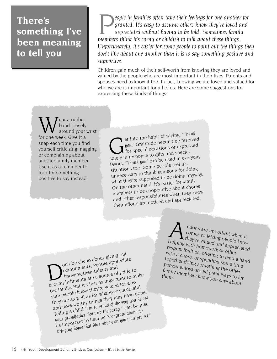## **There's something I've been meaning to tell you**

**People in families often take their feelings for one another for**<br>granted. It's easy to assume others know they're loved and<br>appreciated without having to be told. Sometimes family<br>members think it's corny or childish to *granted. It's easy to assume others know they're loved and appreciated without having to be told. Sometimes family Unfortunately, it's easier for some people to point out the things they don't like about one another than it is to say something positive and supportive.*

Children gain much of their self-worth from knowing they are loved and valued by the people who are most important in their lives. Parents and spouses need to know it too. In fact, knowing we are loved and valued for who we are is important for all of us. Here are some suggestions for expressing these kinds of things:

Wear a rubber<br>for one week. Give it a band loosely around your wrist snap each time you find yourself criticizing, nagging or complaining about another family member. Use it as a reminder to look for something positive to say instead.

et into the habit of saying, "Thank<br>
you." Gratitude needn't be reserved<br>
for special occasions or expressed<br>
to gifts and special **l** et into the habit of saying, "T*hank*<br>• you." Gratitude needn't be reserved solely in response to gifts and special favors. "*Thank you"* can be used in everyday situations too. Some people feel it's unnecessary to thank someone for doing what they're supposed to be doing anyway. On the other hand, it's easier for family members to be cooperative about chores and other responsibilities when they know their efforts are noticed and appreciated.

On't be cheap about giving out<br>compliments. People apprecia<br>knowing their talents and<br>whents are a source of price on't be cheap about straining<br>compliments. People appreciate<br>compliments, talents and on't be cheap about giving out<br>compliments. People appreciat<br>knowing their talents and accomplishments are a source of pride to the family. But it's just as important to make sure people know they're valued for who they are as well as for whatever successful and note-worthy things they may have done. Telling a child *"I'm so proud of the way you helped your grandfather clean up the garage"* can be just as important to hear as "*Congratulations for bringing home that blue ribbon on your fair project."*

ctions are important when it comes to letting people know I they're valued and appreciated. Helping with homework or other responsibilities, offering to lend a hand with a chore, or spending some time together doing something the other<br>person enjoys are all great ways to le<br>them person enjoys are all great ways to let family members know you care about<br>them<br>them the $\eta_1$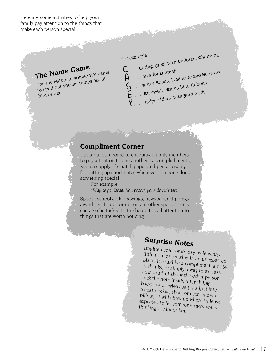Here are some activities to help your family pay attention to the things that make each person special:

# **The Name Game**

Use the letters in someone's name to spell out special things about him or her.

For example **Caring, great with Children, Charming.**<br>...cares for **a**nimals <sup>A</sup>.........cares for **<sup>a</sup>**nimals <sup>S</sup>........writes **<sup>s</sup>**ongs, is **<sup>s</sup>**incere and **<sup>s</sup>**ensitive <sup>E</sup>.........**<sup>e</sup>**nergetic, **<sup>e</sup>**arns blue ribbons, ...helps elderly with **y**ard work

## **Compliment Corner**

Use a bulletin board to encourage family members to pay attention to one another's accomplishments, Keep a supply of scratch paper and pens close by for putting up short notes whenever someone does something special.

For example:

"*Way to go, Brad. You passed your driver's test!*"

Special schoolwork, drawings, newspaper clippings, award certificates or ribbons or other special items can also be tacked to the board to call attention to things that are worth noticing.

## **Surprise Notes**

Brighten someone's day by leaving a little note or drawing in an unexpected place. It could be a compliment, a note of thanks, or simply a way to express how you feel about the other person. Tuck the note inside a lunch bag, backpack or briefcase (or slip it into a coat pocket, shoe, or even under a pillow). It will show up when it's least expected to let someone know you're thinking of him or her.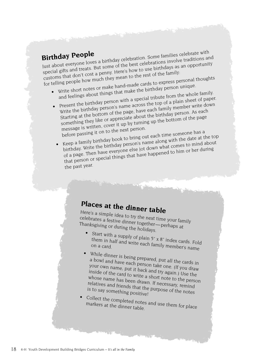**Birthday People**<br>Just about everyone loves a birthday celebration. Some families celebrate with<br>Just about everyone loves a birthday celebrations involve traditions at Birthday People<br>Just about everyone loves a birthday celebration. Some families celebrate with<br>special gifts and treats. But some of the best celebrations involve traditions and customs that don't cost a penny. Here's how to use birthdays as an opportunity for telling people how much they mean to the rest of the family:

- Write short notes or make hand-made cards to express personal thoughts and feelings about things that make the birthday person unique.
	- Present the birthday person with a special tribute from the whole family.
	- Write the birthday person's name across the top of a plain sheet of paper. Starting at the bottom of the page, have each family member write down something they like or appreciate about the birthday person. As eac<sup>h</sup> message is written, cover it up by turning up the bottom of the page before passing it on to the next person.
	- Keep a family birthday book to bring out each time someone has a birthday. Write the birthday person's name along with the date at the top of a page. Then have everyone else jot down what comes to mind about that person or special things that have happened to him or her during the past year.

## **Places at the dinner table**

Here's a simple idea to try the next time your family celebrates a festive dinner together—perhaps at Thanksgiving or during the holidays.

- Start with a supply of plain  $5" \times 8"$  index cards. Fold<br>them in half and write each for il them in half and write each family member's name<br>on a card.
- • While dinner is being prepared, put all the cards in a bowl and have each person take one. (If you draw your own name, put it back and try again.) Use the inside of the card to write a short note to the person whose name has been drawn. If necessary, remind relatives and friends that the purpose of the notes is to say something positive!
- •Collect the completed notes and use them for place markers at the dinner table.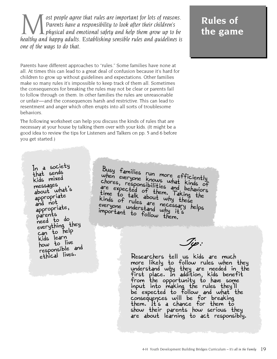ost people agree that rules are important for lots of reasons.<br>Parents have a responsibility to look after their children's<br>healthy and happy adults. Establishing sensible rules and quidelines is *Parents have a responsibility to look after their children's physical and emotional safety and help them grow up to be healthy and happy adults. Establishing sensible rules and guidelines is one of the ways to do that.*

Parents have different approaches to "rules." Some families have none at all. At times this can lead to a great deal of confusion because it's hard for children to grow up without guidelines and expectations. Other families make so many rules it's impossible to keep track of them all. Sometimes the consequences for breaking the rules may not be clear or parents fail to follow through on them. In other families the rules are unreasonable or unfair—and the consequences harsh and restrictive. This can lead to resentment and anger which often erupts into all sorts of troublesome behaviors.

The following worksheet can help you discuss the kinds of rules that are necessary at your house by talking them over with your kids. (It might be a good idea to review the tips for Listeners and Talkers on pp. 5 and 6 before you get started.)

In a society that sends kids mixed messages about what's appropriate and not appropriate, parents need to do everything they can to help kids learn how to live responsible and ethical lives.

Busy families run more efficiently when everyone knows what kinds of chores, responsibilities and behaviors are expected of them. Taking the time to talk about why these kinds of rules are why these<br>everyone understand why these<br>moont, understand why it's helps everyone understand why it's important to follow them.

Tip:

Researchers tell us kids are much more likely to follow rules when they understand why they are needed in the first place. In addition, kids benefit from the opportunity to have some input into making the rules they'll be expected to follow and what the consequences will be for breaking them. It's a chance for them to show their parents how serious they are about learning to act responsibly.

## **Rules of the game**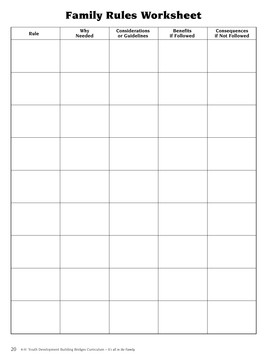## **Family Rules Worksheet**

| Rule | Why<br>Needed | <b>Considerations</b><br>or Guidelines | <b>Benefits</b><br>if Followed | <b>Consequences</b><br>if Not Followed |
|------|---------------|----------------------------------------|--------------------------------|----------------------------------------|
|      |               |                                        |                                |                                        |
|      |               |                                        |                                |                                        |
|      |               |                                        |                                |                                        |
|      |               |                                        |                                |                                        |
|      |               |                                        |                                |                                        |
|      |               |                                        |                                |                                        |
|      |               |                                        |                                |                                        |
|      |               |                                        |                                |                                        |
|      |               |                                        |                                |                                        |
|      |               |                                        |                                |                                        |
|      |               |                                        |                                |                                        |
|      |               |                                        |                                |                                        |
|      |               |                                        |                                |                                        |
|      |               |                                        |                                |                                        |
|      |               |                                        |                                |                                        |
|      |               |                                        |                                |                                        |
|      |               |                                        |                                |                                        |
|      |               |                                        |                                |                                        |
|      |               |                                        |                                |                                        |
|      |               |                                        |                                |                                        |
|      |               |                                        |                                |                                        |
|      |               |                                        |                                |                                        |
|      |               |                                        |                                |                                        |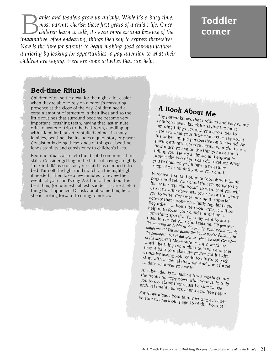**B** abies and toddlers grow up quickly. While it's a busy time,<br>most parents cherish those first years of a child's life. Once<br>imaginative, often endearing, things they say to express themselves. *most parents cherish those first years of a child's life. Once children learn to talk, it's even more exciting because of the Now is the time for parents to begin making good communication a priority by looking for opportunities to pay attention to what their children are saying. Here are some activities that can help.*

## **Toddler corner**

## **Bed-time Rituals**

Children often settle down for the night a lot easier when they're able to rely on a parent's reassuring presence at the close of the day. Children need a certain amount of structure in their lives and so the little routines that surround bedtime become very important: brushing teeth, having that last minute drink of water or trip to the bathroom, cuddling up with a familiar blanket or stuffed animal. In many families, bedtime also includes a quick story or prayer. Consistently doing these kinds of things at bedtime lends stability and consistency to children's lives.

Bedtime rituals also help build solid communication skills. Consider getting in the habit of having a nightly "tuck in-talk" as soon as your child has climbed into bed. Turn off the light (and switch on the night-light if needed.) Then take a few minutes to review the events of your child's day. Ask him or her about the best thing (or funniest, silliest, saddest, scariest, etc.) thing that happened. Or, ask about something he or she is looking forward to doing tomorrow.

## **A Book About Me**

Any parent knows that toddlers and very young children have a knack for saying the most amazing things. It's always a good idea to listen to what your little one has to say about his or her unique perspective on the world. By paying attention, you're letting your child know how much you value the things he or she is telling you. Here's a simple and enjoyable project the two of you can do together. When you're finished you'll have a treasured keepsake to remind you of your child.

Purchase a spiral bound notebook with blank pages and tell your child that it's going to be his or her "special book". Explain that you will use it to write down whatever he or she wants you to write. Consider making it a special activity that's done on a fairly regular basis. Regardless of how often you write, it will be helpful to focus your child's attention on something specific. You may want to ask a question to get your child talking. *("If you were the mommy or daddy in this family, what would you do tomorrow?" "Tell me about the house you're building in the sandbox" "What did you see when we took Grandpa to the airport?")* Make sure to copy, word for word, the things your child tells you and then read it back to make sure you've got it right. Consider asking your child to illustrate each<br>story with a special drawing. And don't forget<br>to date whatever you write story with a special drawing. And don't fight.<br>to date whatever you write. And don't forget

Another idea is to paste a few snapshots into the book and copy down what your child tells you to say about them. Just be sure to use archival quality adhesive and acid free paper!

For more ideas about family writing activities, be sure to check out page 15 of this booklet!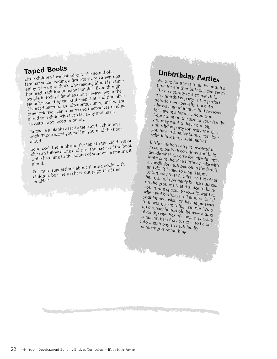## **Taped Books**

Little children love listening to the sound of a familiar voice reading a favorite story. Grown-ups enjoy it too, and that's why reading aloud is a timehonored tradition in many families. Even though people in today's families don't always live in the poople in coday or animals done dinays in the most still keep that tradition alive. Divorced parents, grandparents, aunts, uncles, and other relatives can tape record themselves reading aloud to a child who lives far away and has a cassette tape recorder handy.

Purchase a blank cassette tape and a children's book. Tape-record yourself as you read the book

aloud.<br>Send both the book and the tape to the child. He or she can follow along and turn the pages of the book while listening to the sound of your voice reading it

aloud. For more suggestions about sharing books with children, be sure to check out page 14 of this booklet!

# **Unbirthday Parties**

Waiting for a year to go by until it's time for another birthday can seem like an eternity to a young child. An unbirthday party is the perfect solution—especially since it's always a good idea to find reasons for having a family celebration. Depending on the size of your family, you may want to have one big unbirthday party for everyone. Or if you have a smaller family, consider scheduling individual parties.

Little children can get involved in making party decorations and help decide what to serve for refreshments. Make sure there's a birthday cake with a candle for each person in the family, and don't forget to sing "Happy Unbirthday to Us". Gifts, on the other hand, should probably be discouraged on the grounds that it's nice to have something special to look forward to when real birthdays roll around. But if your family insists on having presents to unwrap, keep things simple. Wrap up ordinary household items—a tube of toothpaste, box of crayons, package of raisins, bar of soap, etc.—to be put into a grab bag so each family member gets something.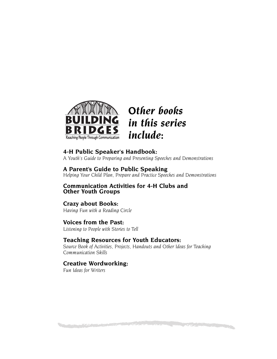

## *Other books in this series include:*

### **4-H Public Speaker's Handbook:**

*A Youth's Guide to Preparing and Presenting Speeches and Demonstrations*

## **A Parent's Guide to Public Speaking**

*Helping Your Child Plan, Prepare and Practice Speeches and Demonstrations*

#### **Communication Activities for 4-H Clubs and Other Youth Groups**

## **Crazy about Books:**

*Having Fun with a Reading Circle*

## **Voices from the Past:**

*Listening to People with Stories to Tell*

## **Teaching Resources for Youth Educators:**

*Source Book of Activities, Projects, Handouts and Other Ideas for Teaching Communication Skills*

**Continued by Continued by Continued by Continued by Continued by Continued by Continued by Continued by Continued** 

## **Creative Wordworking:**

*Fun Ideas for Writers*